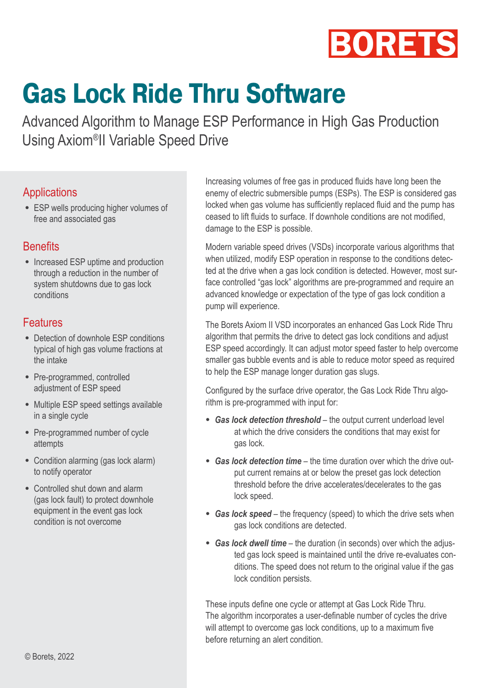

## **Gas Lock Ride Thru Software**

Advanced Algorithm to Manage ESP Performance in High Gas Production Using Axiom®II Variable Speed Drive

## **Applications**

• ESP wells producing higher volumes of free and associated gas

## **Benefits**

• Increased ESP uptime and production through a reduction in the number of system shutdowns due to gas lock conditions

## Features

- Detection of downhole ESP conditions typical of high gas volume fractions at the intake
- Pre-programmed, controlled adjustment of ESP speed
- Multiple ESP speed settings available in a single cycle
- Pre-programmed number of cycle attempts
- Condition alarming (gas lock alarm) to notify operator
- Controlled shut down and alarm (gas lock fault) to protect downhole equipment in the event gas lock condition is not overcome

Increasing volumes of free gas in produced fluids have long been the enemy of electric submersible pumps (ESPs). The ESP is considered gas locked when gas volume has sufficiently replaced fluid and the pump has ceased to lift fluids to surface. If downhole conditions are not modified, damage to the ESP is possible.

Modern variable speed drives (VSDs) incorporate various algorithms that when utilized, modify ESP operation in response to the conditions detected at the drive when a gas lock condition is detected. However, most surface controlled "gas lock" algorithms are pre-programmed and require an advanced knowledge or expectation of the type of gas lock condition a pump will experience.

The Borets Axiom II VSD incorporates an enhanced Gas Lock Ride Thru algorithm that permits the drive to detect gas lock conditions and adjust ESP speed accordingly. It can adjust motor speed faster to help overcome smaller gas bubble events and is able to reduce motor speed as required to help the ESP manage longer duration gas slugs.

Configured by the surface drive operator, the Gas Lock Ride Thru algorithm is pre-programmed with input for:

- *Gas lock detection threshold* the output current underload level at which the drive considers the conditions that may exist for gas lock.
- *Gas lock detection time* the time duration over which the drive output current remains at or below the preset gas lock detection threshold before the drive accelerates/decelerates to the gas lock speed.
- *Gas lock speed* the frequency (speed) to which the drive sets when gas lock conditions are detected.
- *Gas lock dwell time* the duration (in seconds) over which the adjusted gas lock speed is maintained until the drive re-evaluates conditions. The speed does not return to the original value if the gas lock condition persists.

These inputs define one cycle or attempt at Gas Lock Ride Thru. The algorithm incorporates a user-definable number of cycles the drive will attempt to overcome gas lock conditions, up to a maximum five before returning an alert condition.